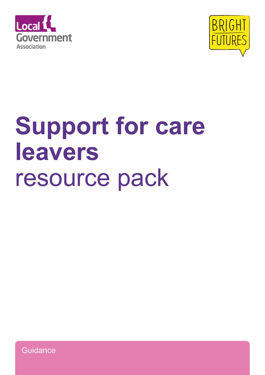



# **Support for care leavers**  resource pack

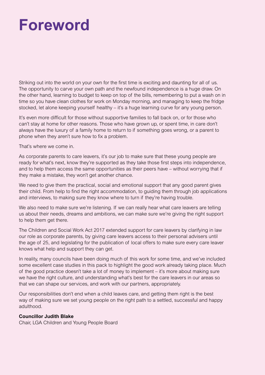## **Foreword**

Striking out into the world on your own for the first time is exciting and daunting for all of us. The opportunity to carve your own path and the newfound independence is a huge draw. On the other hand, learning to budget to keep on top of the bills, remembering to put a wash on in time so you have clean clothes for work on Monday morning, and managing to keep the fridge stocked, let alone keeping yourself healthy – it's a huge learning curve for any young person.

It's even more difficult for those without supportive families to fall back on, or for those who can't stay at home for other reasons. Those who have grown up, or spent time, in care don't always have the luxury of a family home to return to if something goes wrong, or a parent to phone when they aren't sure how to fix a problem.

That's where we come in.

As corporate parents to care leavers, it's our job to make sure that these young people are ready for what's next, know they're supported as they take those first steps into independence, and to help them access the same opportunities as their peers have – without worrying that if they make a mistake, they won't get another chance.

We need to give them the practical, social and emotional support that any good parent gives their child. From help to find the right accommodation, to guiding them through job applications and interviews, to making sure they know where to turn if they're having trouble.

We also need to make sure we're listening. If we can really hear what care leavers are telling us about their needs, dreams and ambitions, we can make sure we're giving the right support to help them get there.

The Children and Social Work Act 2017 extended support for care leavers by clarifying in law our role as corporate parents, by giving care leavers access to their personal advisers until the age of 25, and legislating for the publication of local offers to make sure every care leaver knows what help and support they can get.

In reality, many councils have been doing much of this work for some time, and we've included some excellent case studies in this pack to highlight the good work already taking place. Much of the good practice doesn't take a lot of money to implement – it's more about making sure we have the right culture, and understanding what's best for the care leavers in our areas so that we can shape our services, and work with our partners, appropriately.

Our responsibilities don't end when a child leaves care, and getting them right is the best way of making sure we set young people on the right path to a settled, successful and happy adulthood.

#### **Councillor Judith Blake**

Chair, LGA Children and Young People Board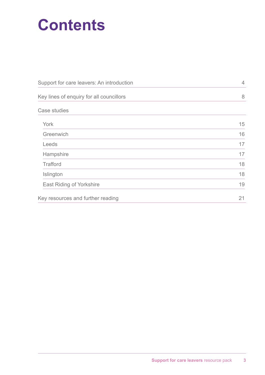# **Contents**

| Support for care leavers: An introduction | $\overline{4}$ |
|-------------------------------------------|----------------|
| Key lines of enquiry for all councillors  | 8              |
| <b>Case studies</b>                       |                |
| York                                      | 15             |
| Greenwich                                 | 16             |
| Leeds                                     | 17             |
| Hampshire                                 | 17             |
| <b>Trafford</b>                           | 18             |
| Islington                                 | 18             |
| <b>East Riding of Yorkshire</b>           | 19             |
| Key resources and further reading         | 21             |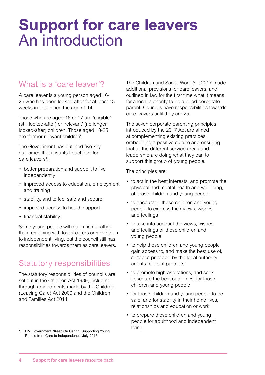### **Support for care leavers**  An introduction

### What is a 'care leaver'?

A care leaver is a young person aged 16- 25 who has been looked-after for at least 13 weeks in total since the age of 14.

Those who are aged 16 or 17 are 'eligible' (still looked-after) or 'relevant' (no longer looked-after) children. Those aged 18-25 are 'former relevant children'.

The Government has outlined five key outcomes that it wants to achieve for care leavers<sup>1</sup>:

- better preparation and support to live independently
- improved access to education, employment and training
- stability, and to feel safe and secure
- improved access to health support
- financial stability.

Some young people will return home rather than remaining with foster carers or moving on to independent living, but the council still has responsibilities towards them as care leavers.

### Statutory responsibilities

The statutory responsibilities of councils are set out in the Children Act 1989, including through amendments made by the Children (Leaving Care) Act 2000 and the Children and Families Act 2014.

The Children and Social Work Act 2017 made additional provisions for care leavers, and outlined in law for the first time what it means for a local authority to be a good corporate parent. Councils have responsibilities towards care leavers until they are 25.

The seven corporate parenting principles introduced by the 2017 Act are aimed at complementing existing practices, embedding a positive culture and ensuring that all the different service areas and leadership are doing what they can to support this group of young people.

The principles are:

- to act in the best interests, and promote the physical and mental health and wellbeing, of those children and young people
- to encourage those children and young people to express their views, wishes and feelings
- to take into account the views, wishes and feelings of those children and young people
- to help those children and young people gain access to, and make the best use of, services provided by the local authority and its relevant partners
- to promote high aspirations, and seek to secure the best outcomes, for those children and young people
- for those children and young people to be safe, and for stability in their home lives, relationships and education or work
- to prepare those children and young people for adulthood and independent living.

<sup>1</sup> HM Government, 'Keep On Caring: Supporting Young People from Care to Independence' July 2016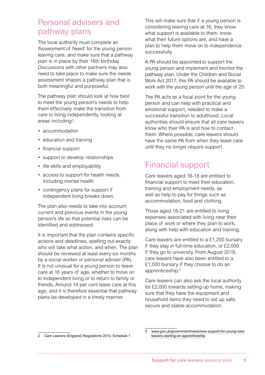#### Personal advisers and pathway plans

The local authority must complete an 'Assessment of Need' for the young person leaving care, and make sure that a pathway plan is in place by their 16th birthday. Discussions with other partners may also need to take place to make sure the needs assessment shapes a pathway plan that is both meaningful and purposeful.

The pathway plan should look at how best to meet the young person's needs to help them effectively make the transition from care to living independently, looking at areas including<sup>2</sup>:

- accommodation
- education and training
- financial support
- support to develop relationships
- life skills and employability
- access to support for health needs, including mental health
- contingency plans for support if independent living breaks down.

The plan also needs to take into account current and previous events in the young person's life so that potential risks can be identified and addressed.

It is important that the plan contains specific actions and deadlines, spelling out exactly who will take what action, and when. The plan should be reviewed at least every six months by a social worker or personal adviser (PA). It is not unusual for a young person to leave care at 16 years of age, whether to move on to independent living or to return to family or friends. Around 14 per cent leave care at this age, and it is therefore essential that pathway plans be developed in a timely manner.

This will make sure that if a young person is considering leaving care at 16, they know what support is available to them, know what their future options are, and have a plan to help them move on to independence successfully.

A PA should be appointed to support the young person and implement and monitor the pathway plan. Under the Children and Social Work Act 2017, this PA should be available to work with the young person until the age of 25.

The PA acts as a focal point for the young person and can help with practical and emotional support, needed to make a successful transition to adulthood. Local authorities should ensure that all care leavers know who their PA is and how to contact them. Where possible, care leavers should have the same PA from when they leave care until they no longer require support.

#### Financial support

Care leavers aged 16-18 are entitled to financial support to meet their education, training and employment needs, as well as help to pay for things such as accommodation, food and clothing.

Those aged 18-21 are entitled to living expenses associated with living near their place of work or where they plan to work, along with help with education and training.

Care leavers are entitled to a £1,200 bursary if they stay in full-time education, or £2,000 if they go to university. From August 2018, care leavers have also been entitled to a £1,000 bursary if they choose to do an apprenticeship.3

Care leavers can also ask the local authority for £2,000 towards setting up home, making sure that they have the equipment and household items they need to set up safe, secure and stable accommodation.

<sup>2</sup> Care Leavers (England) Regulations 2010, Schedule 1

[www.gov.uk/government/news/new-support-for-young-care](http://www.gov.uk/government/news/new-support-for-young-care-leavers-starting-an-apprenticeship)[leavers-starting-an-apprenticeship](http://www.gov.uk/government/news/new-support-for-young-care-leavers-starting-an-apprenticeship)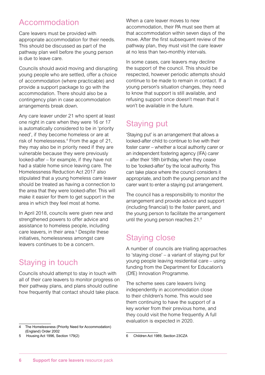#### Accommodation

Care leavers must be provided with appropriate accommodation for their needs. This should be discussed as part of the pathway plan well before the young person is due to leave care.

Councils should avoid moving and disrupting young people who are settled, offer a choice of accommodation (where practicable) and provide a support package to go with the accommodation. There should also be a contingency plan in case accommodation arrangements break down.

Any care leaver under 21 who spent at least one night in care when they were 16 or 17 is automatically considered to be in 'priority need', if they become homeless or are at risk of homelessness.4 From the age of 21, they may also be in priority need if they are vulnerable because they were previously looked-after – for example, if they have not had a stable home since leaving care. The Homelessness Reduction Act 2017 also stipulated that a young homeless care leaver should be treated as having a connection to the area that they were looked-after. This will make it easier for them to get support in the area in which they feel most at home.

In April 2018, councils were given new and strengthened powers to offer advice and assistance to homeless people, including care leavers, in their area.<sup>5</sup> Despite these initiatives, homelessness amongst care leavers continues to be a concern.

#### Staying in touch

Councils should attempt to stay in touch with all of their care leavers to monitor progress on their pathway plans, and plans should outline how frequently that contact should take place.

4 The Homelessness (Priority Need for Accommodation) (England) Order 2002

5 Housing Act 1996, Section 179(2)

When a care leaver moves to new accommodation, their PA must see them at that accommodation within seven days of the move. After the first subsequent review of the pathway plan, they must visit the care leaver at no less than two-monthly intervals.

In some cases, care leavers may decline the support of the council. This should be respected, however periodic attempts should continue to be made to remain in contact. If a young person's situation changes, they need to know that support is still available, and refusing support once doesn't mean that it won't be available in the future.

#### Staying put

'Staying put' is an arrangement that allows a looked-after child to continue to live with their foster carer – whether a local authority carer or an independent fostering agency (IFA) carer – after their 18th birthday, when they cease to be 'looked-after' by the local authority. This can take place where the council considers it appropriate, and both the young person and the carer want to enter a staying put arrangement.

The council has a responsibility to monitor the arrangement and provide advice and support (including financial) to the foster parent, and the young person to facilitate the arrangement until the young person reaches 21.6

#### Staying close

A number of councils are trialling approaches to 'staying close' – a variant of staying put for young people leaving residential care – using funding from the Department for Education's (DfE) Innovation Programme.

The scheme sees care leavers living independently in accommodation close to their children's home. This would see them continuing to have the support of a key worker from their previous home, and they could visit the home frequently. A full evaluation is expected in 2020.

<sup>6</sup> Children Act 1989, Section 23CZA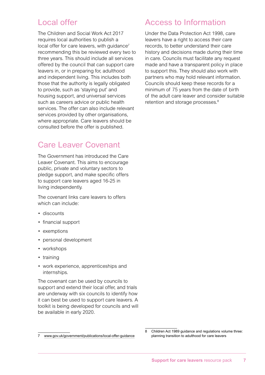#### Local offer

The Children and Social Work Act 2017 requires local authorities to publish a local offer for care leavers, with guidance<sup>7</sup> recommending this be reviewed every two to three years. This should include all services offered by the council that can support care leavers in, or in preparing for, adulthood and independent living. This includes both those that the authority is legally obligated to provide, such as 'staying put' and housing support, and universal services such as careers advice or public health services. The offer can also include relevant services provided by other organisations, where appropriate. Care leavers should be consulted before the offer is published.

#### Care Leaver Covenant

The Government has introduced the Care Leaver Covenant. This aims to encourage public, private and voluntary sectors to pledge support, and make specific offers to support care leavers aged 16-25 in living independently.

The covenant links care leavers to offers which can include:

- discounts
- financial support
- exemptions
- personal development
- workshops
- training
- work experience, apprenticeships and internships.

The covenant can be used by councils to support and extend their local offer, and trials are underway with six councils to identify how it can best be used to support care leavers. A toolkit is being developed for councils and will be available in early 2020.

#### 7 [www.gov.uk/government/publications/local-offer-guidance](http://www.gov.uk/government/publications/local-offer-guidance)

#### Access to Information

Under the Data Protection Act 1998, care leavers have a right to access their care records, to better understand their care history and decisions made during their time in care. Councils must facilitate any request made and have a transparent policy in place to support this. They should also work with partners who may hold relevant information. Councils should keep these records for a minimum of 75 years from the date of birth of the adult care leaver and consider suitable retention and storage processes.<sup>8</sup>

8 Children Act 1989 guidance and regulations volume three: planning transition to adulthood for care leavers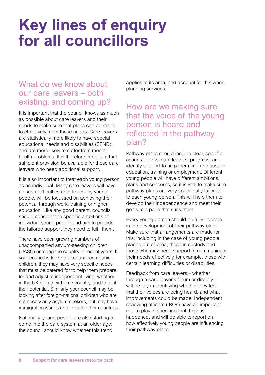## **Key lines of enquiry for all councillors**

#### What do we know about our care leavers – both existing, and coming up?

It is important that the council knows as much as possible about care leavers and their needs to make sure that plans can be made to effectively meet those needs. Care leavers are statistically more likely to have special educational needs and disabilities (SEND), and are more likely to suffer from mental health problems. It is therefore important that sufficient provision be available for those care leavers who need additional support.

It is also important to treat each young person as an individual. Many care leavers will have no such difficulties and, like many young people, will be focussed on achieving their potential through work, training or higher education. Like any good parent, councils should consider the specific ambitions of individual young people and aim to provide the tailored support they need to fulfil them.

There have been growing numbers of unaccompanied asylum-seeking children (UASC) entering the country in recent years. If your council is looking after unaccompanied children, they may have very specific needs that must be catered for to help them prepare for and adjust to independent living, whether in the UK or in their home country, and to fulfil their potential. Similarly, your council may be looking after foreign-national children who are not necessarily asylum-seekers, but may have immigration issues and links to other countries.

Nationally, young people are also starting to come into the care system at an older age; the council should know whether this trend

applies to its area, and account for this when planning services.

#### How are we making sure that the voice of the young person is heard and reflected in the pathway plan?

Pathway plans should include clear, specific actions to drive care leavers' progress, and identify support to help them find and sustain education, training or employment. Different young people will have different ambitions, plans and concerns, so it is vital to make sure pathway plans are very specifically tailored to each young person. This will help them to develop their independence and meet their goals at a pace that suits them.

Every young person should be fully involved in the development of their pathway plan. Make sure that arrangements are made for this, including in the case of young people placed out of area, those in custody and those who may need support to communicate their needs effectively, for example, those with certain learning difficulties or disabilities.

Feedback from care leavers – whether through a care leaver's forum or directly – will be key in identifying whether they feel that their voices are being heard, and what improvements could be made. Independent reviewing officers (IROs) have an important role to play in checking that this has happened, and will be able to report on how effectively young people are influencing their pathway plans.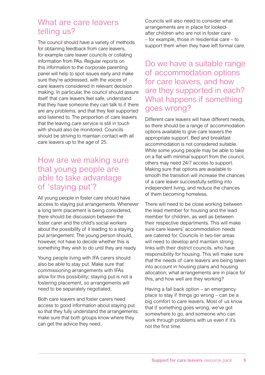#### What are care leavers telling us?

The council should have a variety of methods for obtaining feedback from care leavers, for example care leaver councils or collating information from PAs. Regular reports on this information to the corporate parenting panel will help to spot issues early and make sure they're addressed, with the voices of care leavers considered in relevant decision making. In particular, the council should assure itself that care leavers feel safe, understand that they have someone they can talk to if there are any problems, and that they feel supported and listened to. The proportion of care leavers that the leaving care service is still in touch with should also be monitored. Councils should be striving to maintain contact with all care leavers up to the age of 25.

#### How are we making sure that young people are able to take advantage of 'staying put'?

All young people in foster care should have access to staying put arrangements. Whenever a long term placement is being considered, there should be discussion between the foster carer and the child's social workers about the possibility of it leading to a staying put arrangement. The young person should, however, not have to decide whether this is something they wish to do until they are ready.

Young people living with IFA carers should also be able to stay put. Make sure that commissioning arrangements with IFAs allow for this possibility; staying put is not a fostering placement, so arrangements will need to be separately negotiated.

Both care leavers and foster carers need access to good information about staying put so that they fully understand the arrangements; make sure that both groups know where they can get the advice they need.

Councils will also need to consider what arrangements are in place for lookedafter children who are not in foster care – for example, those in residential care – to support them when they have left formal care.

Do we have a suitable range of accommodation options for care leavers, and how are they supported in each? What happens if something goes wrong?

Different care leavers will have different needs, so there should be a range of accommodation options available to give care leavers the appropriate support. Bed and breakfast accommodation is not considered suitable. While some young people may be able to take on a flat with minimal support from the council, others may need 24/7 access to support. Making sure that options are available to smooth the transition will increase the chances of a care leaver successfully settling into independent living, and reduce the chances of them becoming homeless.

There will need to be close working between the lead member for housing and the lead member for children, as well as between their respective departments. This will make sure care leavers' accommodation needs are catered for. Councils in two-tier areas will need to develop and maintain strong links with their district councils, who have responsibility for housing. This will make sure that the needs of care leavers are being taken into account in housing plans and housing allocation; what arrangements are in place for this, and how well are they working?

Having a fall back option – an emergency place to stay if things go wrong – can be a big comfort to care leavers. Most of us know that if something goes wrong, we've got somewhere to go, and someone who can work through problems with us even if it's not the first time.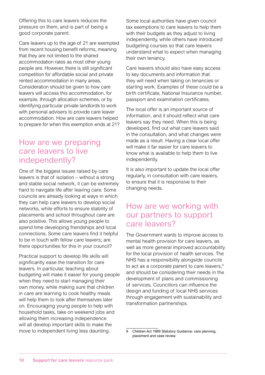Offering this to care leavers reduces the pressure on them, and is part of being a good corporate parent.

Care leavers up to the age of 21 are exempted from recent housing benefit reforms, meaning that they are not limited to the shared accommodation rates as most other young people are. However, there is still significant competition for affordable social and private rented accommodation in many areas. Consideration should be given to how care leavers will access this accommodation, for example, through allocation schemes, or by identifying particular private landlords to work with personal advisers to provide care leaver accommodation. How are care leavers helped to prepare for when this exemption ends at 21?

#### How are we preparing care leavers to live independently?

One of the biggest issues raised by care leavers is that of isolation – without a strong and stable social network, it can be extremely hard to navigate life after leaving care. Some councils are already looking at ways in which they can help care leavers to develop social networks, while efforts to ensure stability of placements and school throughout care are also positive. This allows young people to spend time developing friendships and local connections. Some care leavers find it helpful to be in touch with fellow care leavers; are there opportunities for this in your council?

Practical support to develop life skills will significantly ease the transition for care leavers. In particular, teaching about budgeting will make it easier for young people when they need to start managing their own money, while making sure that children in care are learning to cook healthy meals will help them to look after themselves later on. Encouraging young people to help with household tasks, take on weekend jobs and allowing them increasing independence will all develop important skills to make the move to independent living less daunting.

Some local authorities have given council tax exemptions to care leavers to help them with their budgets as they adjust to living independently, while others have introduced budgeting courses so that care leavers understand what to expect when managing their own tenancy.

Care leavers should also have easy access to key documents and information that they will need when taking on tenancies or starting work. Examples of these could be a birth certificate, National Insurance number, passport and examination certificates.

The local offer is an important source of information, and it should reflect what care leavers say they need. When this is being developed, find out what care leavers said in the consultation, and what changes were made as a result. Having a clear local offer will make it far easier for care leavers to know what is available to help them to live independently.

It is also important to update the local offer regularly, in consultation with care leavers, to ensure that it is responsive to their changing needs.

#### How are we working with our partners to support care leavers?

The Government wants to improve access to mental health provision for care leavers, as well as more general improved accountability for the local provision of health services. The NHS has a responsibility alongside councils to act as a corporate parent to care leavers, $9$ and should be considering their needs in the development of plans and commissioning of services. Councillors can influence the design and funding of local NHS services through engagement with sustainability and transformation partnerships.

<sup>9</sup> Children Act 1989 Statutory Guidance: care planning, placement and case review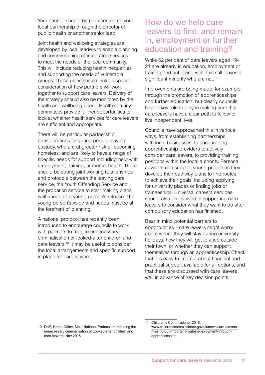Your council should be represented on your local partnership through the director of public health or another senior lead.

Joint health and wellbeing strategies are developed by local leaders to enable planning and commissioning of integrated services to meet the needs of the local community. This will include reducing health inequalities and supporting the needs of vulnerable groups. These plans should include specific consideration of how partners will work together to support care leavers. Delivery of the strategy should also be monitored by the health and wellbeing board. Health scrutiny committees provide further opportunities to look at whether health services for care leavers are sufficient and appropriate.

There will be particular partnership considerations for young people leaving custody, who are at greater risk of becoming homeless, and are likely to have a range of specific needs for support including help with employment, training, or mental health. There should be strong joint working relationships and protocols between the leaving care service, the Youth Offending Service and the probation service to start making plans well ahead of a young person's release. The young person's voice and needs must be at the forefront of planning.

A national protocol has recently been introduced to encourage councils to work with partners to reduce unnecessary criminalisation of looked-after children and care leavers.<sup>10</sup> It may be useful to consider the local arrangements and specific support in place for care leavers.

#### How do we help care leavers to find, and remain in, employment or further education and training?

While 62 per cent of care leavers aged 19- 21 are already in education, employment or training and achieving well, this still leaves a significant minority who are not.<sup>11</sup>

Improvements are being made, for example, through the promotion of apprenticeships and further education, but clearly councils have a key role to play in making sure that care leavers have a clear path to follow to live independent lives.

Councils have approached this in various ways, from establishing partnerships with local businesses, to encouraging apprenticeship providers to actively consider care leavers, to providing training positions within the local authority. Personal advisers can support young people as they develop their pathway plans to find routes to achieve their goals, including applying for university places or finding jobs or traineeships. Universal careers services should also be involved in supporting care leavers to consider what they want to do after compulsory education has finished.

Bear in mind potential barriers to opportunities – care leavers might worry about where they will stay during university holidays, how they will get to a job outside their town, or whether they can support themselves through an apprenticeship. Check that it is easy to find out about financial and practical support available for all options, and that these are discussed with care leavers well in advance of key decision points.

<sup>10</sup> DoE, Home Office, MoJ, National Protocol on reducing the unnecessary criminalisation of Looked-after children and care leavers, Nov 2018

<sup>11</sup> Children's Commissioner 2016:

[www.childrenscommissioner.gov.uk/news/care-leavers](http://www.childrenscommissioner.gov.uk/news/care-leavers-missing-out-important-routes-employment-through-apprenticeships)[missing-out-important-routes-employment-through](http://www.childrenscommissioner.gov.uk/news/care-leavers-missing-out-important-routes-employment-through-apprenticeships)[apprenticeships](http://www.childrenscommissioner.gov.uk/news/care-leavers-missing-out-important-routes-employment-through-apprenticeships)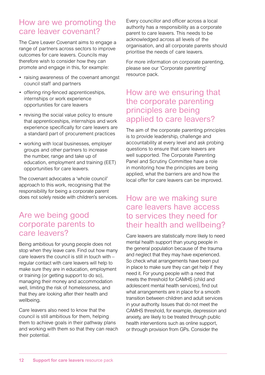#### How are we promoting the care leaver covenant?

The Care Leaver Covenant aims to engage a range of partners across sectors to improve outcomes for care leavers. Councils may therefore wish to consider how they can promote and engage in this, for example:

- raising awareness of the covenant amongst council staff and partners
- offering ring-fenced apprenticeships, internships or work experience opportunities for care leavers
- revising the social value policy to ensure that apprenticeships, internships and work experience specifically for care leavers are a standard part of procurement practices
- working with local businesses, employer groups and other partners to increase the number, range and take up of education, employment and training (EET) opportunities for care leavers.

The covenant advocates a 'whole council' approach to this work, recognising that the responsibility for being a corporate parent does not solely reside with children's services.

#### Are we being good corporate parents to care leavers?

Being ambitious for young people does not stop when they leave care. Find out how many care leavers the council is still in touch with – regular contact with care leavers will help to make sure they are in education, employment or training (or getting support to do so), managing their money and accommodation well, limiting the risk of homelessness, and that they are looking after their health and wellbeing.

Care leavers also need to know that the council is still ambitious for them, helping them to achieve goals in their pathway plans and working with them so that they can reach their potential.

Every councillor and officer across a local authority has a responsibility as a corporate parent to care leavers. This needs to be acknowledged across all levels of the organisation, and all corporate parents should prioritise the needs of care leavers.

For more information on corporate parenting, please see our 'Corporate parenting' resource pack.

#### How are we ensuring that the corporate parenting principles are being applied to care leavers?

The aim of the corporate parenting principles is to provide leadership, challenge and accountability at every level and ask probing questions to ensure that care leavers are well supported. The Corporate Parenting Panel and Scrutiny Committee have a role in monitoring how the principles are being applied, what the barriers are and how the local offer for care leavers can be improved.

#### How are we making sure care leavers have access to services they need for their health and wellbeing?

Care leavers are statistically more likely to need mental health support than young people in the general population because of the trauma and neglect that they may have experienced. So check what arrangements have been put in place to make sure they can get help if they need it. For young people with a need that meets the threshold for CAMHS (child and adolescent mental health services), find out what arrangements are in place for a smooth transition between children and adult services in your authority. Issues that do not meet the CAMHS threshold, for example, depression and anxiety, are likely to be treated through public health interventions such as online support, or through provision from GPs. Consider the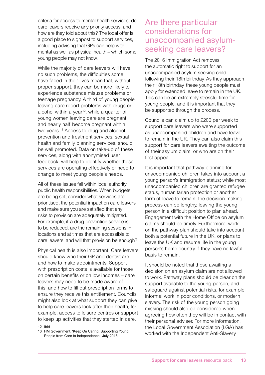criteria for access to mental health services; do care leavers receive any priority access, and how are they told about this? The local offer is a good place to signpost to support services, including advising that GPs can help with mental as well as physical health – which some young people may not know.

While the majority of care leavers will have no such problems, the difficulties some have faced in their lives mean that, without proper support, they can be more likely to experience substance misuse problems or teenage pregnancy. A third of young people leaving care report problems with drugs or alcohol within a year<sup>12</sup>, while a quarter of young women leaving care are pregnant, and nearly half become pregnant within two years.<sup>13</sup> Access to drug and alcohol prevention and treatment services, sexual health and family planning services, should be well promoted. Data on take-up of these services, along with anonymised user feedback, will help to identify whether those services are operating effectively or need to change to meet young people's needs.

All of these issues fall within local authority public health responsibilities. When budgets are being set, consider what services are prioritised, the potential impact on care leavers and make sure you are satisfied that any risks to provision are adequately mitigated. For example, if a drug prevention service is to be reduced, are the remaining sessions in locations and at times that are accessible to care leavers, and will that provision be enough?

Physical health is also important. Care leavers should know who their GP and dentist are and how to make appointments. Support with prescription costs is available for those on certain benefits or on low incomes – care leavers may need to be made aware of this, and how to fill out prescription forms to ensure they receive this entitlement. Councils might also look at what support they can give to help care leavers look after their health, for example, access to leisure centres or support to keep up activities that they started in care.

13 HM Government, 'Keep On Caring: Supporting Young People from Care to Independence', July 2016

#### Are there particular considerations for unaccompanied asylumseeking care leavers?

The 2016 Immigration Act removes the automatic right to support for an unaccompanied asylum seeking child following their 18th birthday. As they approach their 18th birthday, these young people must apply for extended leave to remain in the UK. This can be an extremely stressful time for young people, and it is important that they be supported through the process.

Councils can claim up to £200 per week to support care leavers who were supported as unaccompanied children and have leave to remain in the UK. They can also claim this support for care leavers awaiting the outcome of their asylum claim, or who are on their first appeal.

It is important that pathway planning for unaccompanied children takes into account a young person's immigration status; while most unaccompanied children are granted refugee status, humanitarian protection or another form of leave to remain, the decision-making process can be lengthy, leaving the young person in a difficult position to plan ahead. Engagement with the Home Office on asylum claims should be timely. Furthermore, work on the pathway plan should take into account both a potential future in the UK, or plans to leave the UK and resume life in the young person's home country if they have no lawful basis to remain.

It should be noted that those awaiting a decision on an asylum claim are not allowed to work. Pathway plans should be clear on the support available to the young person, and safeguard against potential risks, for example, informal work in poor conditions, or modern slavery. The risk of the young person going missing should also be considered when agreeing how often they will be in contact with their personal adviser. For more information, the Local Government Association (LGA) has worked with the Independent Anti-Slavery

<sup>12</sup> Ibid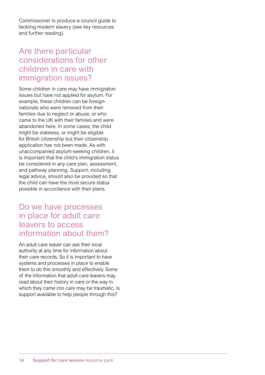Commissioner to produce a council guide to tackling modern slavery (see key resources and further reading).

#### Are there particular considerations for other children in care with immigration issues?

Some children in care may have immigration issues but have not applied for asylum. For example, these children can be foreignnationals who were removed from their families due to neglect or abuse, or who came to the UK with their families and were abandoned here. In some cases, the child might be stateless, or might be eligible for British citizenship but their citizenship application has not been made. As with unaccompanied asylum-seeking children, it is important that the child's immigration status be considered in any care plan, assessment, and pathway planning. Support, including legal advice, should also be provided so that the child can have the most secure status possible in accordance with their plans.

#### Do we have processes in place for adult care leavers to access information about them?

An adult care leaver can ask their local authority at any time for information about their care records. So it is important to have systems and processes in place to enable them to do this smoothly and effectively. Some of the information that adult care leavers may read about their history in care or the way in which they came into care may be traumatic. Is support available to help people through this?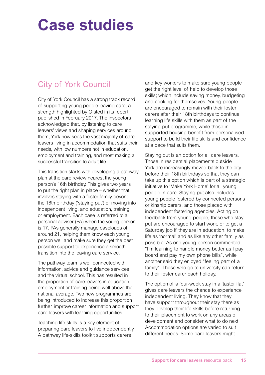# **Case studies**

### City of York Council

City of York Council has a strong track record of supporting young people leaving care; a strength highlighted by Ofsted in its report published in February 2017. The inspectors acknowledged that, by listening to care leavers' views and shaping services around them, York now sees the vast majority of care leavers living in accommodation that suits their needs, with low numbers not in education, employment and training, and most making a successful transition to adult life.

This transition starts with developing a pathway plan at the care review nearest the young person's 16th birthday. This gives two years to put the right plan in place – whether that involves staying with a foster family beyond the 18th birthday ('staying put') or moving into independent living, and education, training or employment. Each case is referred to a personal adviser (PA) when the young person is 17. PAs generally manage caseloads of around 21, helping them know each young person well and make sure they get the best possible support to experience a smooth transition into the leaving care service.

The pathway team is well connected with information, advice and guidance services and the virtual school. This has resulted in the proportion of care leavers in education, employment or training being well above the national average. Two new programmes are being introduced to increase this proportion further, improve career information and support care leavers with learning opportunities.

Teaching life skills is a key element of preparing care leavers to live independently. A pathway life-skills toolkit supports carers

and key workers to make sure young people get the right level of help to develop those skills; which include saving money, budgeting and cooking for themselves. Young people are encouraged to remain with their foster carers after their 18th birthdays to continue learning life skills with them as part of the staying put programme, while those in supported housing benefit from personalised support to build their life skills and confidence at a pace that suits them.

Staying put is an option for all care leavers. Those in residential placements outside York are increasingly moved back to the city before their 18th birthdays so that they can take up this option which is part of a strategic initiative to 'Make York Home' for all young people in care. Staying put also includes young people fostered by connected persons or kinship carers, and those placed with independent fostering agencies. Acting on feedback from young people, those who stay put are encouraged to start work, or to get a Saturday job if they are in education, to make life as 'normal' and as like any other family as possible. As one young person commented, "I'm learning to handle money better as I pay board and pay my own phone bills", while another said they enjoyed "feeling part of a family". Those who go to university can return to their foster carer each holiday.

The option of a four-week stay in a 'taster flat' gives care leavers the chance to experience independent living. They know that they have support throughout their stay there as they develop their life skills before returning to their placement to work on any areas of development and consider what to do next. Accommodation options are varied to suit different needs. Some care leavers might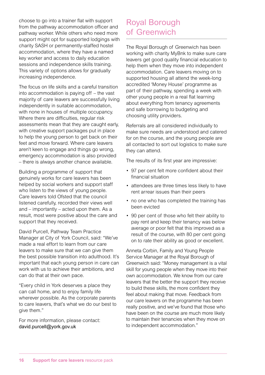choose to go into a trainer flat with support from the pathway accommodation officer and pathway worker. While others who need more support might opt for supported lodgings with charity SASH or permanently-staffed hostel accommodation, where they have a named key worker and access to daily education sessions and independence skills training. This variety of options allows for gradually increasing independence.

The focus on life skills and a careful transition into accommodation is paying off – the vast majority of care leavers are successfully living independently in suitable accommodation, with none in houses of multiple occupancy. Where there are difficulties, regular risk assessments mean that they are caught early, with creative support packages put in place to help the young person to get back on their feet and move forward. Where care leavers aren't keen to engage and things go wrong, emergency accommodation is also provided – there is always another chance available.

Building a programme of support that genuinely works for care leavers has been helped by social workers and support staff who listen to the views of young people. Care leavers told Ofsted that the council listened carefully, recorded their views well and – importantly – acted upon them. As a result, most were positive about the care and support that they received.

David Purcell, Pathway Team Practice Manager at City of York Council, said: "We've made a real effort to learn from our care leavers to make sure that we can give them the best possible transition into adulthood. It's important that each young person in care can work with us to achieve their ambitions, and can do that at their own pace.

"Every child in York deserves a place they can call home, and to enjoy family life wherever possible. As the corporate parents to care leavers, that's what we do our best to give them."

For more information, please contact: [david.purcell@york.gov.uk](mailto:david.purcell@york.gov.uk)

#### Royal Borough of Greenwich

The Royal Borough of Greenwich has been working with charity MyBnk to make sure care leavers get good quality financial education to help them when they move into independent accommodation. Care leavers moving on to supported housing all attend the week-long accredited 'Money House' programme as part of their pathway, spending a week with other young people in a real flat learning about everything from tenancy agreements and safe borrowing to budgeting and choosing utility providers.

Referrals are all considered individually to make sure needs are understood and catered for on the course, and the young people are all contacted to sort out logistics to make sure they can attend.

The results of its first year are impressive:

- 97 per cent felt more confident about their financial situation
- attendees are three times less likely to have rent arrear issues than their peers
- no one who has completed the training has been evicted
- 90 per cent of those who felt their ability to pay rent and keep their tenancy was below average or poor felt that this improved as a result of the course, with 80 per cent going on to rate their ability as good or excellent.

Anneta Corbin, Family and Young People Service Manager at the Royal Borough of Greenwich said: "Money management is a vital skill for young people when they move into their own accommodation. We know from our care leavers that the better the support they receive to build these skills, the more confident they feel about making that move. Feedback from our care leavers on the programme has been really positive, and we've found that those who have been on the course are much more likely to maintain their tenancies when they move on to independent accommodation."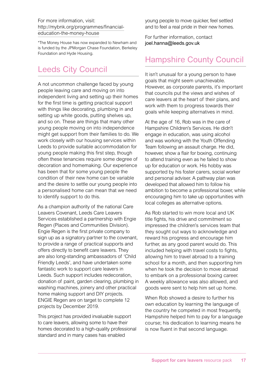For more information, visit: [http://mybnk.org/programmes/financial](http://mybnk.org/programmes/financial-education-the-money-house/)[education-the-money-house](http://mybnk.org/programmes/financial-education-the-money-house/)

\*The Money House has now expanded to Newham and is funded by the JPMorgan Chase Foundation, Berkeley Foundation and Hyde Housing.

### Leeds City Council

A not uncommon challenge faced by young people leaving care and moving on into independent living and setting up their homes for the first time is getting practical support with things like decorating, plumbing in and setting up white goods, putting shelves up, and so on. These are things that many other young people moving on into independence might get support from their families to do. We work closely with our housing services within Leeds to provide suitable accommodation for young people making this first step, though often these tenancies require some degree of decoration and homemaking. Our experience has been that for some young people the condition of their new home can be variable and the desire to settle our young people into a personalised home can mean that we need to identify support to do this.

As a champion authority of the national Care Leavers Covenant, Leeds Care Leavers Services established a partnership with Engie Regen (Places and Communities Division). Engie Regen is the first private company to sign up as a signatory partner to the covenant, to provide a range of practical supports and offers directly to benefit care leavers. They are also long-standing ambassadors of 'Child Friendly Leeds', and have undertaken some fantastic work to support care leavers in Leeds. Such support includes redecoration, donation of paint, garden clearing, plumbing in washing machines, joinery and other practical home making support and DIY projects. ENGIE Regen are on target to complete 12 projects by December 2019.

This project has provided invaluable support to care leavers, allowing some to have their homes decorated to a high-quality professional standard and in many cases has enabled

young people to move quicker, feel settled and to feel a real pride in their new homes.

For further information, contact [joel.hanna@leeds.gov.uk](mailto:joel.hanna@leeds.gov.uk)

#### Hampshire County Council

It isn't unusual for a young person to have goals that might seem unachievable. However, as corporate parents, it's important that councils put the views and wishes of care leavers at the heart of their plans, and work with them to progress towards their goals while keeping alternatives in mind.

At the age of 16, Rob was in the care of Hampshire Children's Services. He didn't engage in education, was using alcohol and was working with the Youth Offending Team following an assault charge. He did, however, show a flair for boxing, continuing to attend training even as he failed to show up for education or work. His hobby was supported by his foster carers, social worker and personal adviser. A pathway plan was developed that allowed him to follow his ambition to become a professional boxer, while encouraging him to take up opportunities with local colleges as alternative options.

As Rob started to win more local and UK title fights, his drive and commitment so impressed the children's services team that they sought out ways to acknowledge and reward his progress and encourage him further, as any good parent would do. This included helping with travel costs to fights, allowing him to travel abroad to a training school for a month, and then supporting him when he took the decision to move abroad to embark on a professional boxing career. A weekly allowance was also allowed, and goods were sent to help him set up home.

When Rob showed a desire to further his own education by learning the language of the country he competed in most frequently, Hampshire helped him to pay for a language course; his dedication to learning means he is now fluent in that second language.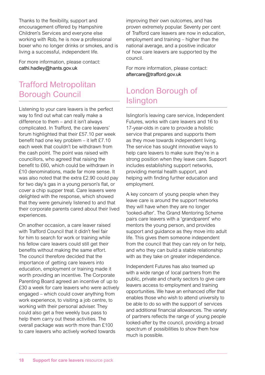Thanks to the flexibility, support and encouragement offered by Hampshire Children's Services and everyone else working with Rob, he is now a professional boxer who no longer drinks or smokes, and is living a successful, independent life.

For more information, please contact: [cathi.hadley@hants.gov.uk](mailto:cathi.hadley@hants.gov.uk)

#### Trafford Metropolitan Borough Council

Listening to your care leavers is the perfect way to find out what can really make a difference to them – and it isn't always complicated. In Trafford, the care leavers' forum highlighted that their £57.10 per week benefit had one key problem – it left £7.10 each week that couldn't be withdrawn from the cash point. The point was raised with councillors, who agreed that raising the benefit to £60, which could be withdrawn in £10 denominations, made far more sense. It was also noted that the extra £2.90 could pay for two day's gas in a young person's flat, or cover a chip supper treat. Care leavers were delighted with the response, which showed that they were genuinely listened to and that their corporate parents cared about their lived experiences.

On another occasion, a care leaver raised with Trafford Council that it didn't feel fair for him to search for work or training while his fellow care leavers could still get their benefits without making the same effort. The council therefore decided that the importance of getting care leavers into education, employment or training made it worth providing an incentive. The Corporate Parenting Board agreed an incentive of up to £30 a week for care leavers who were actively engaged – which could cover anything from work experience, to visiting a job centre, to working with their personal adviser. They could also get a free weekly bus pass to help them carry out these activities. The overall package was worth more than £100 to care leavers who actively worked towards

improving their own outcomes, and has proven extremely popular. Seventy per cent of Trafford care leavers are now in education, employment and training – higher than the national average, and a positive indicator of how care leavers are supported by the council.

For more information, please contact: [aftercare@trafford.gov.uk](mailto:aftercare@trafford.gov.uk)

### London Borough of Islington

Islington's leaving care service, Independent Futures, works with care leavers and 16 to 17-year-olds in care to provide a holistic service that prepares and supports them as they move towards independent living. The service has sought innovative ways to help care leavers to make sure they're in a strong position when they leave care. Support includes establishing support networks, providing mental health support, and helping with finding further education and employment.

A key concern of young people when they leave care is around the support networks they will have when they are no longer 'looked-after'. The Grand Mentoring Scheme pairs care leavers with a 'grandparent' who mentors the young person, and provides support and guidance as they move into adult life. This gives them someone independent from the council that they can rely on for help, and who they can build a stable relationship with as they take on greater independence.

Independent Futures has also teamed up with a wide range of local partners from the public, private and charity sectors to give care leavers access to employment and training opportunities. We have an enhanced offer that enables those who wish to attend university to be able to do so with the support of services and additional financial allowances. The variety of partners reflects the range of young people looked-after by the council, providing a broad spectrum of possibilities to show them how much is possible.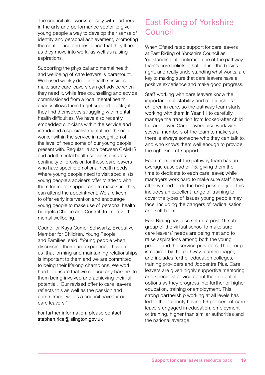The council also works closely with partners in the arts and performance sector to give young people a way to develop their sense of identity and personal achievement, promoting the confidence and resilience that they'll need as they move into work, as well as raising aspirations.

Supporting the physical and mental health, and wellbeing of care leavers is paramount. Well-used weekly drop in health sessions make sure care leavers can get advice when they need it, while free counselling and advice commissioned from a local mental health charity allows them to get support quickly if they find themselves struggling with mental health difficulties. We have also recently embedded clinicians within the service and introduced a specialist mental health social worker within the service in recognition of the level of need some of our young people present with. Regular liaison between CAMHS and adult mental health services ensures continuity of provision for those care leavers who have specific emotional health needs. Where young people need to visit specialists, young people's advisers offer to attend with them for moral support and to make sure they can attend the appointment. We are keen to offer early intervention and encourage young people to make use of personal health budgets (Choice and Control) to improve their mental wellbeing.

Councillor Kaya Comer Schwartz, Executive Member for Children, Young People and Families, said: "Young people when discussing their care experience, have told us that forming and maintaining relationships is important to them and we are committed to being their lifelong champions. We work hard to ensure that we reduce any barriers to them being involved and achieving their full potential. Our revised offer to care leavers reflects this as well as the passion and commitment we as a council have for our care leavers."

For further information, please contact [stephen.rice@islington.gov.uk](mailto:stephen.rice@islington.gov.uk)

### East Riding of Yorkshire Council

When Ofsted rated support for care leavers at East Riding of Yorkshire Council as 'outstanding', it confirmed one of the pathway team's core beliefs – that getting the basics right, and really understanding what works, are key to making sure that care leavers have a positive experience and make good progress.

Staff working with care leavers know the importance of stability and relationships to children in care, so the pathway team starts working with them in Year 11 to carefully manage the transition from looked-after child to care leaver. Care leavers also work with several members of the team to make sure there is always someone who they can talk to, and who knows them well enough to provide the right kind of support.

Each member of the pathway team has an average caseload of 15, giving them the time to dedicate to each care leaver, while managers work hard to make sure staff have all they need to do the best possible job. This includes an excellent range of training to cover the types of issues young people may face, including the dangers of radicalisation and self-harm.

East Riding has also set up a post-16 subgroup of the virtual school to make sure care leavers' needs are being met and to raise aspirations among both the young people and the service providers. The group is chaired by the pathway team manager, and includes further education colleges, training providers and Jobcentre Plus. Care leavers are given highly supportive mentoring and specialist advice about their potential options as they progress into further or higher education, training or employment. This strong partnership working at all levels has led to the authority having 69 per cent of care leavers engaged in education, employment or training, higher than similar authorities and the national average.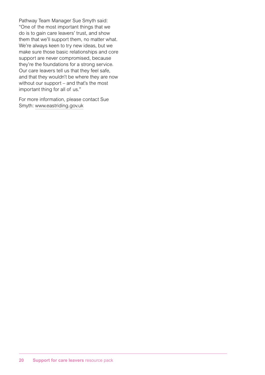Pathway Team Manager Sue Smyth said: "One of the most important things that we do is to gain care leavers' trust, and show them that we'll support them, no matter what. We're always keen to try new ideas, but we make sure those basic relationships and core support are never compromised, because they're the foundations for a strong service. Our care leavers tell us that they feel safe, and that they wouldn't be where they are now without our support – and that's the most important thing for all of us."

For more information, please contact Sue Smyth: [www.eastriding.gov.uk](http://www.eastriding.gov.uk)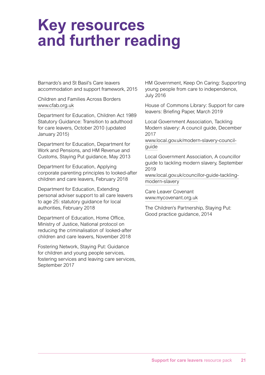### **Key resources and further reading**

Barnardo's and St Basil's Care leavers accommodation and support framework, 2015

Children and Families Across Borders [www.cfab.org.uk](http://www.cfab.org.uk)

Department for Education, Children Act 1989 Statutory Guidance: Transition to adulthood for care leavers, October 2010 (updated January 2015)

Department for Education, Department for Work and Pensions, and HM Revenue and Customs, Staying Put guidance, May 2013

Department for Education, Applying corporate parenting principles to looked-after children and care leavers, February 2018

Department for Education, Extending personal adviser support to all care leavers to age 25: statutory guidance for local authorities, February 2018

Department of Education, Home Office, Ministry of Justice, National protocol on reducing the criminalisation of looked-after children and care leavers, November 2018

Fostering Network, Staying Put: Guidance for children and young people services, fostering services and leaving care services, September 2017

HM Government, Keep On Caring: Supporting young people from care to independence, July 2016

House of Commons Library: Support for care leavers: Briefing Paper, March 2019

Local Government Association, Tackling Modern slavery: A council guide, December 2017

[www.local.gov.uk/modern-slavery-council](http://www.local.gov.uk/modern-slavery-council-guide)[guide](http://www.local.gov.uk/modern-slavery-council-guide)

Local Government Association, A councillor guide to tackling modern slavery, September 2019

[www.local.gov.uk/councillor-guide-tackling](http://www.local.gov.uk/councillor-guide-tackling-modern-slavery)[modern-slavery](http://www.local.gov.uk/councillor-guide-tackling-modern-slavery)

Care Leaver Covenant [www.mycovenant.org.uk](http://www.mycovenant.org.uk)

The Children's Partnership, Staying Put: Good practice guidance, 2014